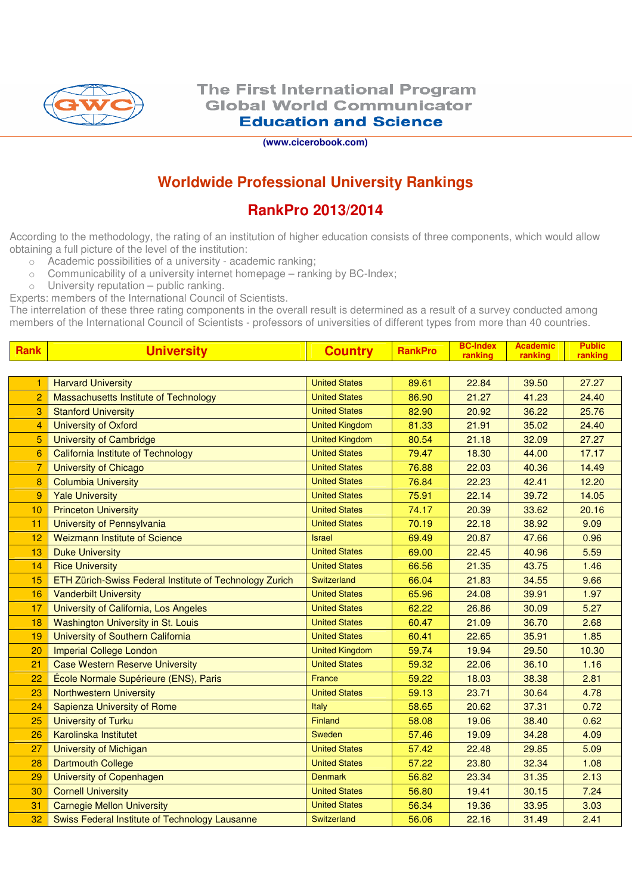

**(www.cicerobook.com)** 

## **Worldwide Professional University Rankings**

## **RankPro 2013/2014**

According to the methodology, the rating of an institution of higher education consists of three components, which would allow obtaining a full picture of the level of the institution:

- o Academic possibilities of a university academic ranking;
- $\circ$  Communicability of a university internet homepage ranking by BC-Index;
- $\circ$  University reputation public ranking.

Experts: members of the International Council of Scientists.

The interrelation of these three rating components in the overall result is determined as a result of a survey conducted among members of the International Council of Scientists - professors of universities of different types from more than 40 countries.

| <b>Rank</b>     | <b>University</b>                                       | <b>Country</b>        | <b>RankPro</b> | <b>BC-Index</b><br>ranking | <b>Academic</b><br>ranking | <b>Public</b><br>ranking |
|-----------------|---------------------------------------------------------|-----------------------|----------------|----------------------------|----------------------------|--------------------------|
|                 |                                                         |                       |                |                            |                            |                          |
|                 | <b>Harvard University</b>                               | <b>United States</b>  | 89.61          | 22.84                      | 39.50                      | 27.27                    |
| $\overline{2}$  | Massachusetts Institute of Technology                   | <b>United States</b>  | 86.90          | 21.27                      | 41.23                      | 24.40                    |
| 3               | <b>Stanford University</b>                              | <b>United States</b>  | 82.90          | 20.92                      | 36.22                      | 25.76                    |
| $\overline{4}$  | <b>University of Oxford</b>                             | <b>United Kingdom</b> | 81.33          | 21.91                      | 35.02                      | 24.40                    |
| 5               | <b>University of Cambridge</b>                          | <b>United Kingdom</b> | 80.54          | 21.18                      | 32.09                      | 27.27                    |
| $6\phantom{1}6$ | <b>California Institute of Technology</b>               | <b>United States</b>  | 79.47          | 18.30                      | 44.00                      | 17.17                    |
| $\overline{7}$  | <b>University of Chicago</b>                            | <b>United States</b>  | 76.88          | 22.03                      | 40.36                      | 14.49                    |
| 8               | <b>Columbia University</b>                              | <b>United States</b>  | 76.84          | 22.23                      | 42.41                      | 12.20                    |
| 9               | <b>Yale University</b>                                  | <b>United States</b>  | 75.91          | 22.14                      | 39.72                      | 14.05                    |
| 10              | <b>Princeton University</b>                             | <b>United States</b>  | 74.17          | 20.39                      | 33.62                      | 20.16                    |
| 11              | University of Pennsylvania                              | <b>United States</b>  | 70.19          | 22.18                      | 38.92                      | 9.09                     |
| 12              | <b>Weizmann Institute of Science</b>                    | <b>Israel</b>         | 69.49          | 20.87                      | 47.66                      | 0.96                     |
| 13              | <b>Duke University</b>                                  | <b>United States</b>  | 69.00          | 22.45                      | 40.96                      | 5.59                     |
| 14              | <b>Rice University</b>                                  | <b>United States</b>  | 66.56          | 21.35                      | 43.75                      | 1.46                     |
| 15              | ETH Zürich-Swiss Federal Institute of Technology Zurich | Switzerland           | 66.04          | 21.83                      | 34.55                      | 9.66                     |
| 16              | <b>Vanderbilt University</b>                            | <b>United States</b>  | 65.96          | 24.08                      | 39.91                      | 1.97                     |
| 17              | University of California, Los Angeles                   | <b>United States</b>  | 62.22          | 26.86                      | 30.09                      | 5.27                     |
| 18              | Washington University in St. Louis                      | <b>United States</b>  | 60.47          | 21.09                      | 36.70                      | 2.68                     |
| 19              | University of Southern California                       | <b>United States</b>  | 60.41          | 22.65                      | 35.91                      | 1.85                     |
| 20              | <b>Imperial College London</b>                          | <b>United Kingdom</b> | 59.74          | 19.94                      | 29.50                      | 10.30                    |
| 21              | <b>Case Western Reserve University</b>                  | <b>United States</b>  | 59.32          | 22.06                      | 36.10                      | 1.16                     |
| 22              | École Normale Supérieure (ENS), Paris                   | France                | 59.22          | 18.03                      | 38.38                      | 2.81                     |
| 23              | <b>Northwestern University</b>                          | <b>United States</b>  | 59.13          | 23.71                      | 30.64                      | 4.78                     |
| 24              | Sapienza University of Rome                             | Italy                 | 58.65          | 20.62                      | 37.31                      | 0.72                     |
| 25              | <b>University of Turku</b>                              | Finland               | 58.08          | 19.06                      | 38.40                      | 0.62                     |
| 26              | Karolinska Institutet                                   | Sweden                | 57.46          | 19.09                      | 34.28                      | 4.09                     |
| 27              | <b>University of Michigan</b>                           | <b>United States</b>  | 57.42          | 22.48                      | 29.85                      | 5.09                     |
| 28              | <b>Dartmouth College</b>                                | <b>United States</b>  | 57.22          | 23.80                      | 32.34                      | 1.08                     |
| 29              | University of Copenhagen                                | <b>Denmark</b>        | 56.82          | 23.34                      | 31.35                      | 2.13                     |
| 30              | <b>Cornell University</b>                               | <b>United States</b>  | 56.80          | 19.41                      | 30.15                      | 7.24                     |
| 31              | <b>Carnegie Mellon University</b>                       | <b>United States</b>  | 56.34          | 19.36                      | 33.95                      | 3.03                     |
| 32              | Swiss Federal Institute of Technology Lausanne          | Switzerland           | 56.06          | 22.16                      | 31.49                      | 2.41                     |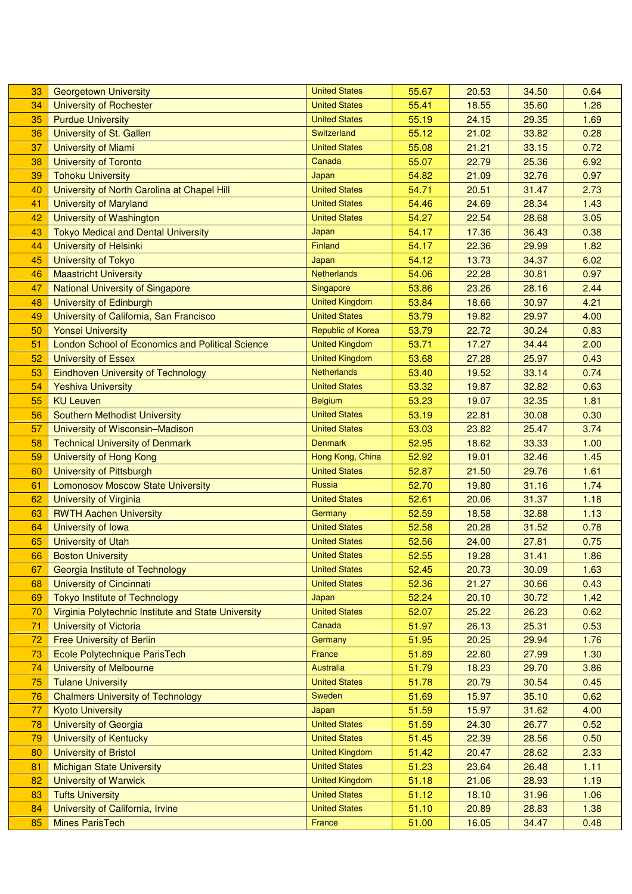| 33 | <b>Georgetown University</b>                            | <b>United States</b>     | 55.67 | 20.53 | 34.50 | 0.64 |
|----|---------------------------------------------------------|--------------------------|-------|-------|-------|------|
| 34 | <b>University of Rochester</b>                          | <b>United States</b>     | 55.41 | 18.55 | 35.60 | 1.26 |
| 35 | <b>Purdue University</b>                                | <b>United States</b>     | 55.19 | 24.15 | 29.35 | 1.69 |
| 36 | University of St. Gallen                                | Switzerland              | 55.12 | 21.02 | 33.82 | 0.28 |
| 37 | <b>University of Miami</b>                              | <b>United States</b>     | 55.08 | 21.21 | 33.15 | 0.72 |
| 38 | <b>University of Toronto</b>                            | Canada                   | 55.07 | 22.79 | 25.36 | 6.92 |
| 39 | <b>Tohoku University</b>                                | Japan                    | 54.82 | 21.09 | 32.76 | 0.97 |
| 40 | University of North Carolina at Chapel Hill             | <b>United States</b>     | 54.71 | 20.51 | 31.47 | 2.73 |
| 41 | <b>University of Maryland</b>                           | <b>United States</b>     | 54.46 | 24.69 | 28.34 | 1.43 |
| 42 | University of Washington                                | <b>United States</b>     | 54.27 | 22.54 | 28.68 | 3.05 |
| 43 | <b>Tokyo Medical and Dental University</b>              | Japan                    | 54.17 | 17.36 | 36.43 | 0.38 |
| 44 | University of Helsinki                                  | Finland                  | 54.17 | 22.36 | 29.99 | 1.82 |
| 45 | <b>University of Tokyo</b>                              | Japan                    | 54.12 | 13.73 | 34.37 | 6.02 |
| 46 | <b>Maastricht University</b>                            | <b>Netherlands</b>       | 54.06 | 22.28 | 30.81 | 0.97 |
| 47 | <b>National University of Singapore</b>                 | Singapore                | 53.86 | 23.26 | 28.16 | 2.44 |
| 48 | University of Edinburgh                                 | <b>United Kingdom</b>    | 53.84 | 18.66 | 30.97 | 4.21 |
| 49 | University of California, San Francisco                 | <b>United States</b>     | 53.79 | 19.82 | 29.97 | 4.00 |
| 50 | <b>Yonsei University</b>                                | <b>Republic of Korea</b> | 53.79 | 22.72 | 30.24 | 0.83 |
| 51 | <b>London School of Economics and Political Science</b> | <b>United Kingdom</b>    | 53.71 | 17.27 | 34.44 | 2.00 |
| 52 | <b>University of Essex</b>                              | <b>United Kingdom</b>    | 53.68 | 27.28 | 25.97 | 0.43 |
| 53 | <b>Eindhoven University of Technology</b>               | <b>Netherlands</b>       | 53.40 | 19.52 | 33.14 | 0.74 |
| 54 | <b>Yeshiva University</b>                               | <b>United States</b>     | 53.32 | 19.87 | 32.82 | 0.63 |
| 55 | <b>KU Leuven</b>                                        | <b>Belgium</b>           | 53.23 | 19.07 | 32.35 | 1.81 |
| 56 | <b>Southern Methodist University</b>                    | <b>United States</b>     | 53.19 | 22.81 | 30.08 | 0.30 |
| 57 | University of Wisconsin-Madison                         | <b>United States</b>     | 53.03 | 23.82 | 25.47 | 3.74 |
| 58 | <b>Technical University of Denmark</b>                  | <b>Denmark</b>           | 52.95 | 18.62 | 33.33 | 1.00 |
| 59 | University of Hong Kong                                 | Hong Kong, China         | 52.92 | 19.01 | 32.46 | 1.45 |
| 60 | University of Pittsburgh                                | <b>United States</b>     | 52.87 | 21.50 | 29.76 | 1.61 |
| 61 | <b>Lomonosov Moscow State University</b>                | Russia                   | 52.70 | 19.80 | 31.16 | 1.74 |
| 62 | <b>University of Virginia</b>                           | <b>United States</b>     | 52.61 | 20.06 | 31.37 | 1.18 |
| 63 | <b>RWTH Aachen University</b>                           | Germany                  | 52.59 | 18.58 | 32.88 | 1.13 |
| 64 | University of Iowa                                      | <b>United States</b>     | 52.58 | 20.28 | 31.52 | 0.78 |
| 65 | <b>University of Utah</b>                               | <b>United States</b>     | 52.56 | 24.00 | 27.81 | 0.75 |
| 66 | <b>Boston University</b>                                | <b>United States</b>     | 52.55 | 19.28 | 31.41 | 1.86 |
| 67 | Georgia Institute of Technology                         | <b>United States</b>     | 52.45 | 20.73 | 30.09 | 1.63 |
| 68 | University of Cincinnati                                | <b>United States</b>     | 52.36 | 21.27 | 30.66 | 0.43 |
| 69 | <b>Tokyo Institute of Technology</b>                    | Japan                    | 52.24 | 20.10 | 30.72 | 1.42 |
| 70 | Virginia Polytechnic Institute and State University     | <b>United States</b>     | 52.07 | 25.22 | 26.23 | 0.62 |
| 71 | <b>University of Victoria</b>                           | Canada                   | 51.97 | 26.13 | 25.31 | 0.53 |
| 72 | <b>Free University of Berlin</b>                        | Germany                  | 51.95 | 20.25 | 29.94 | 1.76 |
| 73 | Ecole Polytechnique ParisTech                           | France                   | 51.89 | 22.60 | 27.99 | 1.30 |
| 74 | <b>University of Melbourne</b>                          | <b>Australia</b>         | 51.79 | 18.23 | 29.70 | 3.86 |
| 75 | <b>Tulane University</b>                                | <b>United States</b>     | 51.78 | 20.79 | 30.54 | 0.45 |
| 76 | <b>Chalmers University of Technology</b>                | Sweden                   | 51.69 | 15.97 | 35.10 | 0.62 |
| 77 | <b>Kyoto University</b>                                 | Japan                    | 51.59 | 15.97 | 31.62 | 4.00 |
| 78 | <b>University of Georgia</b>                            | <b>United States</b>     | 51.59 | 24.30 | 26.77 | 0.52 |
| 79 | <b>University of Kentucky</b>                           | <b>United States</b>     | 51.45 | 22.39 | 28.56 | 0.50 |
| 80 | <b>University of Bristol</b>                            | <b>United Kingdom</b>    | 51.42 | 20.47 | 28.62 | 2.33 |
| 81 | <b>Michigan State University</b>                        | <b>United States</b>     | 51.23 | 23.64 | 26.48 | 1.11 |
| 82 | <b>University of Warwick</b>                            | <b>United Kingdom</b>    | 51.18 | 21.06 | 28.93 | 1.19 |
| 83 | <b>Tufts University</b>                                 | <b>United States</b>     | 51.12 | 18.10 | 31.96 | 1.06 |
| 84 | University of California, Irvine                        | <b>United States</b>     | 51.10 | 20.89 | 28.83 | 1.38 |
| 85 | <b>Mines ParisTech</b>                                  | France                   | 51.00 | 16.05 | 34.47 | 0.48 |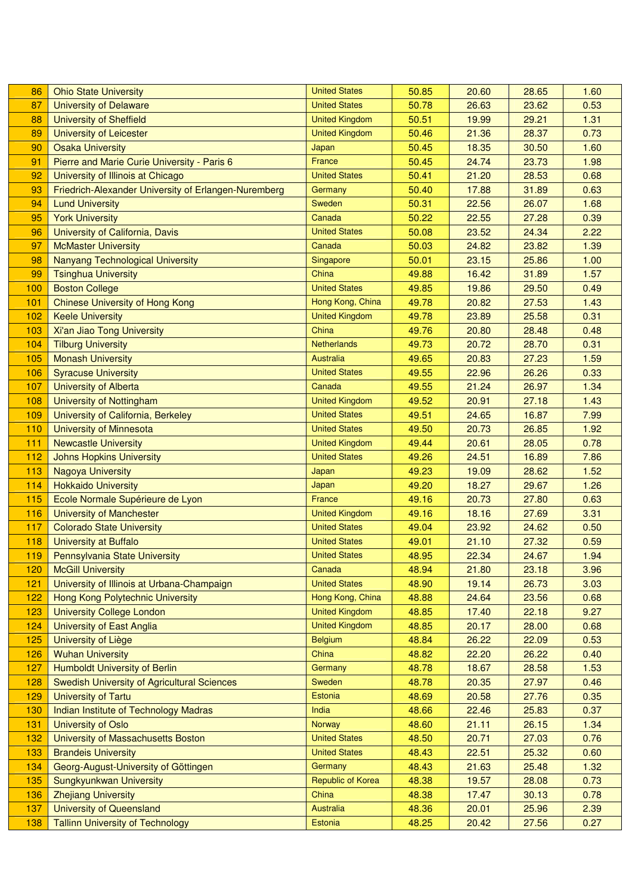| 86  | <b>Ohio State University</b>                         | <b>United States</b>  | 50.85 | 20.60 | 28.65 | 1.60 |
|-----|------------------------------------------------------|-----------------------|-------|-------|-------|------|
| 87  | <b>University of Delaware</b>                        | <b>United States</b>  | 50.78 | 26.63 | 23.62 | 0.53 |
| 88  | <b>University of Sheffield</b>                       | <b>United Kingdom</b> | 50.51 | 19.99 | 29.21 | 1.31 |
| 89  | <b>University of Leicester</b>                       | <b>United Kingdom</b> | 50.46 | 21.36 | 28.37 | 0.73 |
| 90  | <b>Osaka University</b>                              | Japan                 | 50.45 | 18.35 | 30.50 | 1.60 |
| 91  | Pierre and Marie Curie University - Paris 6          | France                | 50.45 | 24.74 | 23.73 | 1.98 |
| 92  | University of Illinois at Chicago                    | <b>United States</b>  | 50.41 | 21.20 | 28.53 | 0.68 |
| 93  | Friedrich-Alexander University of Erlangen-Nuremberg | Germany               | 50.40 | 17.88 | 31.89 | 0.63 |
| 94  | <b>Lund University</b>                               | Sweden                | 50.31 | 22.56 | 26.07 | 1.68 |
| 95  | <b>York University</b>                               | Canada                | 50.22 | 22.55 | 27.28 | 0.39 |
| 96  | University of California, Davis                      | <b>United States</b>  | 50.08 | 23.52 | 24.34 | 2.22 |
| 97  | <b>McMaster University</b>                           | Canada                | 50.03 | 24.82 | 23.82 | 1.39 |
| 98  | <b>Nanyang Technological University</b>              | Singapore             | 50.01 | 23.15 | 25.86 | 1.00 |
| 99  | <b>Tsinghua University</b>                           | China                 | 49.88 | 16.42 | 31.89 | 1.57 |
| 100 | <b>Boston College</b>                                | <b>United States</b>  | 49.85 | 19.86 | 29.50 | 0.49 |
| 101 | <b>Chinese University of Hong Kong</b>               | Hong Kong, China      | 49.78 | 20.82 | 27.53 | 1.43 |
| 102 | <b>Keele University</b>                              | <b>United Kingdom</b> | 49.78 | 23.89 | 25.58 | 0.31 |
| 103 | Xi'an Jiao Tong University                           | China                 | 49.76 | 20.80 | 28.48 | 0.48 |
| 104 | <b>Tilburg University</b>                            | <b>Netherlands</b>    | 49.73 | 20.72 | 28.70 | 0.31 |
| 105 | <b>Monash University</b>                             | Australia             | 49.65 | 20.83 | 27.23 | 1.59 |
| 106 | <b>Syracuse University</b>                           | <b>United States</b>  | 49.55 | 22.96 | 26.26 | 0.33 |
| 107 | <b>University of Alberta</b>                         | Canada                | 49.55 | 21.24 | 26.97 | 1.34 |
| 108 | <b>University of Nottingham</b>                      | <b>United Kingdom</b> | 49.52 | 20.91 | 27.18 | 1.43 |
| 109 | University of California, Berkeley                   | <b>United States</b>  | 49.51 | 24.65 | 16.87 | 7.99 |
| 110 | <b>University of Minnesota</b>                       | <b>United States</b>  | 49.50 | 20.73 | 26.85 | 1.92 |
| 111 | <b>Newcastle University</b>                          | <b>United Kingdom</b> | 49.44 | 20.61 | 28.05 | 0.78 |
| 112 | <b>Johns Hopkins University</b>                      | <b>United States</b>  | 49.26 | 24.51 | 16.89 | 7.86 |
| 113 | <b>Nagoya University</b>                             | Japan                 | 49.23 | 19.09 | 28.62 | 1.52 |
| 114 | <b>Hokkaido University</b>                           | Japan                 | 49.20 | 18.27 | 29.67 | 1.26 |
| 115 | Ecole Normale Supérieure de Lyon                     | France                | 49.16 | 20.73 | 27.80 | 0.63 |
| 116 | <b>University of Manchester</b>                      | <b>United Kingdom</b> | 49.16 | 18.16 | 27.69 | 3.31 |
| 117 | <b>Colorado State University</b>                     | <b>United States</b>  | 49.04 | 23.92 | 24.62 | 0.50 |
| 118 | <b>University at Buffalo</b>                         | <b>United States</b>  | 49.01 | 21.10 | 27.32 | 0.59 |
| 119 | <b>Pennsylvania State University</b>                 | <b>United States</b>  | 48.95 | 22.34 | 24.67 | 1.94 |
| 120 | <b>McGill University</b>                             | Canada                | 48.94 | 21.80 | 23.18 | 3.96 |
| 121 | University of Illinois at Urbana-Champaign           | <b>United States</b>  | 48.90 | 19.14 | 26.73 | 3.03 |
| 122 | Hong Kong Polytechnic University                     | Hong Kong, China      | 48.88 | 24.64 | 23.56 | 0.68 |
| 123 | <b>University College London</b>                     | <b>United Kingdom</b> | 48.85 | 17.40 | 22.18 | 9.27 |
| 124 | University of East Anglia                            | <b>United Kingdom</b> | 48.85 | 20.17 | 28.00 | 0.68 |
| 125 | <b>University of Liège</b>                           | <b>Belgium</b>        | 48.84 | 26.22 | 22.09 | 0.53 |
| 126 | <b>Wuhan University</b>                              | China                 | 48.82 | 22.20 | 26.22 | 0.40 |
| 127 | <b>Humboldt University of Berlin</b>                 | Germany               | 48.78 | 18.67 | 28.58 | 1.53 |
| 128 | <b>Swedish University of Agricultural Sciences</b>   | Sweden                | 48.78 | 20.35 | 27.97 | 0.46 |
| 129 | <b>University of Tartu</b>                           | Estonia               | 48.69 | 20.58 | 27.76 | 0.35 |
| 130 | Indian Institute of Technology Madras                | India                 | 48.66 | 22.46 | 25.83 | 0.37 |
| 131 | <b>University of Oslo</b>                            | Norway                | 48.60 | 21.11 | 26.15 | 1.34 |
| 132 | University of Massachusetts Boston                   | <b>United States</b>  | 48.50 | 20.71 | 27.03 | 0.76 |
| 133 | <b>Brandeis University</b>                           | <b>United States</b>  | 48.43 | 22.51 | 25.32 | 0.60 |
| 134 | Georg-August-University of Göttingen                 | Germany               | 48.43 | 21.63 | 25.48 | 1.32 |
| 135 | Sungkyunkwan University                              | Republic of Korea     | 48.38 | 19.57 | 28.08 | 0.73 |
| 136 | <b>Zhejiang University</b>                           | China                 | 48.38 | 17.47 | 30.13 | 0.78 |
| 137 | <b>University of Queensland</b>                      | Australia             | 48.36 | 20.01 | 25.96 | 2.39 |
| 138 | <b>Tallinn University of Technology</b>              | Estonia               | 48.25 | 20.42 | 27.56 | 0.27 |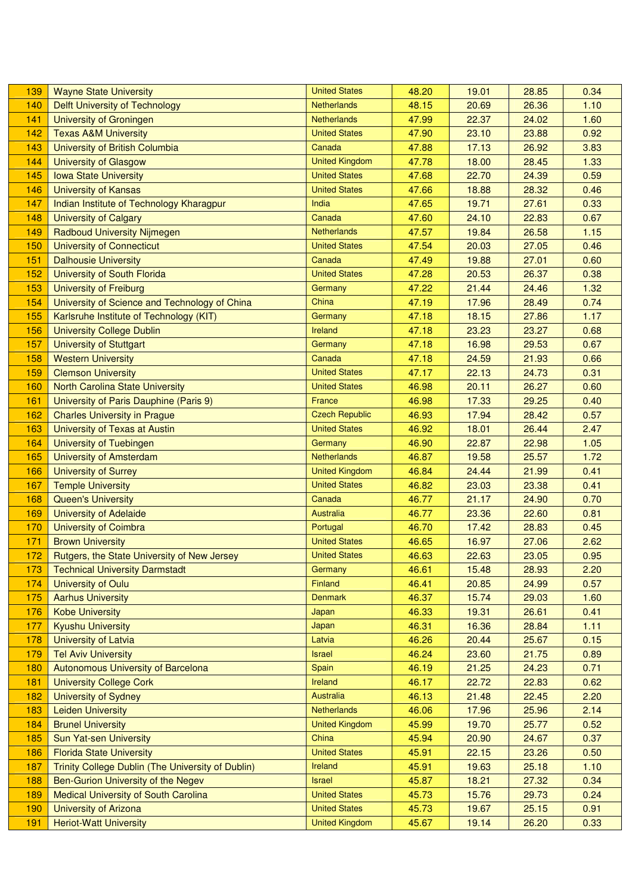| 139 | <b>Wayne State University</b>                     | <b>United States</b>  | 48.20 | 19.01 | 28.85 | 0.34 |
|-----|---------------------------------------------------|-----------------------|-------|-------|-------|------|
| 140 | <b>Delft University of Technology</b>             | Netherlands           | 48.15 | 20.69 | 26.36 | 1.10 |
| 141 | <b>University of Groningen</b>                    | <b>Netherlands</b>    | 47.99 | 22.37 | 24.02 | 1.60 |
| 142 | <b>Texas A&amp;M University</b>                   | <b>United States</b>  | 47.90 | 23.10 | 23.88 | 0.92 |
| 143 | <b>University of British Columbia</b>             | Canada                | 47.88 | 17.13 | 26.92 | 3.83 |
| 144 | <b>University of Glasgow</b>                      | <b>United Kingdom</b> | 47.78 | 18.00 | 28.45 | 1.33 |
| 145 | <b>Iowa State University</b>                      | <b>United States</b>  | 47.68 | 22.70 | 24.39 | 0.59 |
| 146 | <b>University of Kansas</b>                       | <b>United States</b>  | 47.66 | 18.88 | 28.32 | 0.46 |
| 147 | Indian Institute of Technology Kharagpur          | India                 | 47.65 | 19.71 | 27.61 | 0.33 |
| 148 | <b>University of Calgary</b>                      | Canada                | 47.60 | 24.10 | 22.83 | 0.67 |
| 149 | <b>Radboud University Nijmegen</b>                | <b>Netherlands</b>    | 47.57 | 19.84 | 26.58 | 1.15 |
| 150 | <b>University of Connecticut</b>                  | <b>United States</b>  | 47.54 | 20.03 | 27.05 | 0.46 |
| 151 | <b>Dalhousie University</b>                       | Canada                | 47.49 | 19.88 | 27.01 | 0.60 |
| 152 | University of South Florida                       | <b>United States</b>  | 47.28 | 20.53 | 26.37 | 0.38 |
| 153 | <b>University of Freiburg</b>                     | Germany               | 47.22 | 21.44 | 24.46 | 1.32 |
| 154 | University of Science and Technology of China     | China                 | 47.19 | 17.96 | 28.49 | 0.74 |
| 155 | Karlsruhe Institute of Technology (KIT)           | Germany               | 47.18 | 18.15 | 27.86 | 1.17 |
| 156 | <b>University College Dublin</b>                  | <b>Ireland</b>        | 47.18 | 23.23 | 23.27 | 0.68 |
| 157 | <b>University of Stuttgart</b>                    | Germany               | 47.18 | 16.98 | 29.53 | 0.67 |
| 158 | <b>Western University</b>                         | Canada                | 47.18 | 24.59 | 21.93 | 0.66 |
| 159 | <b>Clemson University</b>                         | <b>United States</b>  | 47.17 | 22.13 | 24.73 | 0.31 |
| 160 | <b>North Carolina State University</b>            | <b>United States</b>  | 46.98 | 20.11 | 26.27 | 0.60 |
| 161 | University of Paris Dauphine (Paris 9)            | France                | 46.98 | 17.33 | 29.25 | 0.40 |
| 162 | <b>Charles University in Prague</b>               | <b>Czech Republic</b> | 46.93 | 17.94 | 28.42 | 0.57 |
| 163 | University of Texas at Austin                     | <b>United States</b>  | 46.92 | 18.01 | 26.44 | 2.47 |
| 164 | <b>University of Tuebingen</b>                    | Germany               | 46.90 | 22.87 | 22.98 | 1.05 |
| 165 | <b>University of Amsterdam</b>                    | <b>Netherlands</b>    | 46.87 | 19.58 | 25.57 | 1.72 |
| 166 | <b>University of Surrey</b>                       | <b>United Kingdom</b> | 46.84 | 24.44 | 21.99 | 0.41 |
| 167 | <b>Temple University</b>                          | <b>United States</b>  | 46.82 | 23.03 | 23.38 | 0.41 |
| 168 | <b>Queen's University</b>                         | Canada                | 46.77 | 21.17 | 24.90 | 0.70 |
| 169 | <b>University of Adelaide</b>                     | Australia             | 46.77 | 23.36 | 22.60 | 0.81 |
| 170 | <b>University of Coimbra</b>                      | Portugal              | 46.70 | 17.42 | 28.83 | 0.45 |
| 171 | <b>Brown University</b>                           | <b>United States</b>  | 46.65 | 16.97 | 27.06 | 2.62 |
| 172 | Rutgers, the State University of New Jersey       | <b>United States</b>  | 46.63 | 22.63 | 23.05 | 0.95 |
| 173 | <b>Technical University Darmstadt</b>             | Germany               | 46.61 | 15.48 | 28.93 | 2.20 |
| 174 | University of Oulu                                | <b>Finland</b>        | 46.41 | 20.85 | 24.99 | 0.57 |
| 175 | <b>Aarhus University</b>                          | <b>Denmark</b>        | 46.37 | 15.74 | 29.03 | 1.60 |
| 176 | <b>Kobe University</b>                            | Japan                 | 46.33 | 19.31 | 26.61 | 0.41 |
| 177 | <b>Kyushu University</b>                          | Japan                 | 46.31 | 16.36 | 28.84 | 1.11 |
| 178 | <b>University of Latvia</b>                       | Latvia                | 46.26 | 20.44 | 25.67 | 0.15 |
| 179 | <b>Tel Aviv University</b>                        | <b>Israel</b>         | 46.24 | 23.60 | 21.75 | 0.89 |
| 180 | <b>Autonomous University of Barcelona</b>         | Spain                 | 46.19 | 21.25 | 24.23 | 0.71 |
| 181 | <b>University College Cork</b>                    | Ireland               | 46.17 | 22.72 | 22.83 | 0.62 |
| 182 | <b>University of Sydney</b>                       | <b>Australia</b>      | 46.13 | 21.48 | 22.45 | 2.20 |
| 183 | <b>Leiden University</b>                          | <b>Netherlands</b>    | 46.06 | 17.96 | 25.96 | 2.14 |
| 184 | <b>Brunel University</b>                          | <b>United Kingdom</b> | 45.99 | 19.70 | 25.77 | 0.52 |
| 185 | <b>Sun Yat-sen University</b>                     | China                 | 45.94 | 20.90 | 24.67 | 0.37 |
| 186 | <b>Florida State University</b>                   | <b>United States</b>  | 45.91 | 22.15 | 23.26 | 0.50 |
| 187 | Trinity College Dublin (The University of Dublin) | Ireland               | 45.91 | 19.63 | 25.18 | 1.10 |
| 188 | Ben-Gurion University of the Negev                | <b>Israel</b>         | 45.87 | 18.21 | 27.32 | 0.34 |
| 189 | Medical University of South Carolina              | <b>United States</b>  | 45.73 | 15.76 | 29.73 | 0.24 |
| 190 | <b>University of Arizona</b>                      | <b>United States</b>  | 45.73 | 19.67 | 25.15 | 0.91 |
| 191 | <b>Heriot-Watt University</b>                     | <b>United Kingdom</b> | 45.67 | 19.14 | 26.20 | 0.33 |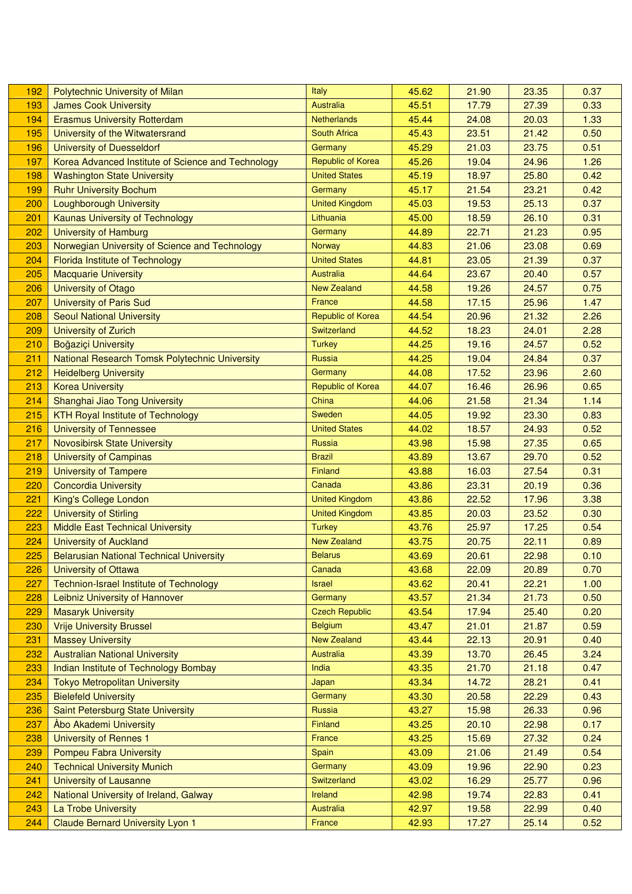| 192 | Polytechnic University of Milan                    | Italy                    | 45.62 | 21.90 | 23.35 | 0.37 |
|-----|----------------------------------------------------|--------------------------|-------|-------|-------|------|
| 193 | <b>James Cook University</b>                       | <b>Australia</b>         | 45.51 | 17.79 | 27.39 | 0.33 |
| 194 | <b>Erasmus University Rotterdam</b>                | Netherlands              | 45.44 | 24.08 | 20.03 | 1.33 |
| 195 | University of the Witwatersrand                    | <b>South Africa</b>      | 45.43 | 23.51 | 21.42 | 0.50 |
| 196 | <b>University of Duesseldorf</b>                   | Germany                  | 45.29 | 21.03 | 23.75 | 0.51 |
| 197 | Korea Advanced Institute of Science and Technology | Republic of Korea        | 45.26 | 19.04 | 24.96 | 1.26 |
| 198 | <b>Washington State University</b>                 | <b>United States</b>     | 45.19 | 18.97 | 25.80 | 0.42 |
| 199 | <b>Ruhr University Bochum</b>                      | Germany                  | 45.17 | 21.54 | 23.21 | 0.42 |
| 200 | <b>Loughborough University</b>                     | <b>United Kingdom</b>    | 45.03 | 19.53 | 25.13 | 0.37 |
| 201 | <b>Kaunas University of Technology</b>             | Lithuania                | 45.00 | 18.59 | 26.10 | 0.31 |
| 202 | <b>University of Hamburg</b>                       | Germany                  | 44.89 | 22.71 | 21.23 | 0.95 |
| 203 | Norwegian University of Science and Technology     | <b>Norway</b>            | 44.83 | 21.06 | 23.08 | 0.69 |
| 204 | Florida Institute of Technology                    | <b>United States</b>     | 44.81 | 23.05 | 21.39 | 0.37 |
| 205 | <b>Macquarie University</b>                        | <b>Australia</b>         | 44.64 | 23.67 | 20.40 | 0.57 |
| 206 | University of Otago                                | <b>New Zealand</b>       | 44.58 | 19.26 | 24.57 | 0.75 |
| 207 | <b>University of Paris Sud</b>                     | France                   | 44.58 | 17.15 | 25.96 | 1.47 |
| 208 | <b>Seoul National University</b>                   | <b>Republic of Korea</b> | 44.54 | 20.96 | 21.32 | 2.26 |
| 209 | <b>University of Zurich</b>                        | Switzerland              | 44.52 | 18.23 | 24.01 | 2.28 |
| 210 | Boğaziçi University                                | <b>Turkey</b>            | 44.25 | 19.16 | 24.57 | 0.52 |
| 211 | National Research Tomsk Polytechnic University     | Russia                   | 44.25 | 19.04 | 24.84 | 0.37 |
| 212 | <b>Heidelberg University</b>                       | Germany                  | 44.08 | 17.52 | 23.96 | 2.60 |
| 213 | <b>Korea University</b>                            | <b>Republic of Korea</b> | 44.07 | 16.46 | 26.96 | 0.65 |
| 214 | Shanghai Jiao Tong University                      | China                    | 44.06 | 21.58 | 21.34 | 1.14 |
| 215 | <b>KTH Royal Institute of Technology</b>           | Sweden                   | 44.05 | 19.92 | 23.30 | 0.83 |
| 216 | <b>University of Tennessee</b>                     | <b>United States</b>     | 44.02 | 18.57 | 24.93 | 0.52 |
| 217 | <b>Novosibirsk State University</b>                | Russia                   | 43.98 | 15.98 | 27.35 | 0.65 |
| 218 | <b>University of Campinas</b>                      | <b>Brazil</b>            | 43.89 | 13.67 | 29.70 | 0.52 |
| 219 | <b>University of Tampere</b>                       | Finland                  | 43.88 | 16.03 | 27.54 | 0.31 |
| 220 | <b>Concordia University</b>                        | Canada                   | 43.86 | 23.31 | 20.19 | 0.36 |
| 221 | King's College London                              | <b>United Kingdom</b>    | 43.86 | 22.52 | 17.96 | 3.38 |
| 222 | <b>University of Stirling</b>                      | <b>United Kingdom</b>    | 43.85 | 20.03 | 23.52 | 0.30 |
| 223 | <b>Middle East Technical University</b>            | <b>Turkey</b>            | 43.76 | 25.97 | 17.25 | 0.54 |
| 224 | <b>University of Auckland</b>                      | <b>New Zealand</b>       | 43.75 | 20.75 | 22.11 | 0.89 |
| 225 | <b>Belarusian National Technical University</b>    | <b>Belarus</b>           | 43.69 | 20.61 | 22.98 | 0.10 |
| 226 | <b>University of Ottawa</b>                        | Canada                   | 43.68 | 22.09 | 20.89 | 0.70 |
| 227 | <b>Technion-Israel Institute of Technology</b>     | <b>Israel</b>            | 43.62 | 20.41 | 22.21 | 1.00 |
| 228 | Leibniz University of Hannover                     | Germany                  | 43.57 | 21.34 | 21.73 | 0.50 |
| 229 | <b>Masaryk University</b>                          | <b>Czech Republic</b>    | 43.54 | 17.94 | 25.40 | 0.20 |
| 230 | <b>Vrije University Brussel</b>                    | <b>Belgium</b>           | 43.47 | 21.01 | 21.87 | 0.59 |
| 231 | <b>Massey University</b>                           | <b>New Zealand</b>       | 43.44 | 22.13 | 20.91 | 0.40 |
| 232 | <b>Australian National University</b>              | Australia                | 43.39 | 13.70 | 26.45 | 3.24 |
| 233 | Indian Institute of Technology Bombay              | India                    | 43.35 | 21.70 | 21.18 | 0.47 |
| 234 | <b>Tokyo Metropolitan University</b>               | Japan                    | 43.34 | 14.72 | 28.21 | 0.41 |
| 235 | <b>Bielefeld University</b>                        | Germany                  | 43.30 | 20.58 | 22.29 | 0.43 |
| 236 | Saint Petersburg State University                  | Russia                   | 43.27 | 15.98 | 26.33 | 0.96 |
| 237 | Åbo Akademi University                             | Finland                  | 43.25 | 20.10 | 22.98 | 0.17 |
| 238 | <b>University of Rennes 1</b>                      | France                   | 43.25 | 15.69 | 27.32 | 0.24 |
| 239 | <b>Pompeu Fabra University</b>                     | Spain                    | 43.09 | 21.06 | 21.49 | 0.54 |
| 240 | <b>Technical University Munich</b>                 | Germany                  | 43.09 | 19.96 | 22.90 | 0.23 |
| 241 | University of Lausanne                             | Switzerland              | 43.02 | 16.29 | 25.77 | 0.96 |
| 242 | National University of Ireland, Galway             | Ireland                  | 42.98 | 19.74 | 22.83 | 0.41 |
| 243 | La Trobe University                                | <b>Australia</b>         | 42.97 | 19.58 | 22.99 | 0.40 |
| 244 | <b>Claude Bernard University Lyon 1</b>            | France                   | 42.93 | 17.27 | 25.14 | 0.52 |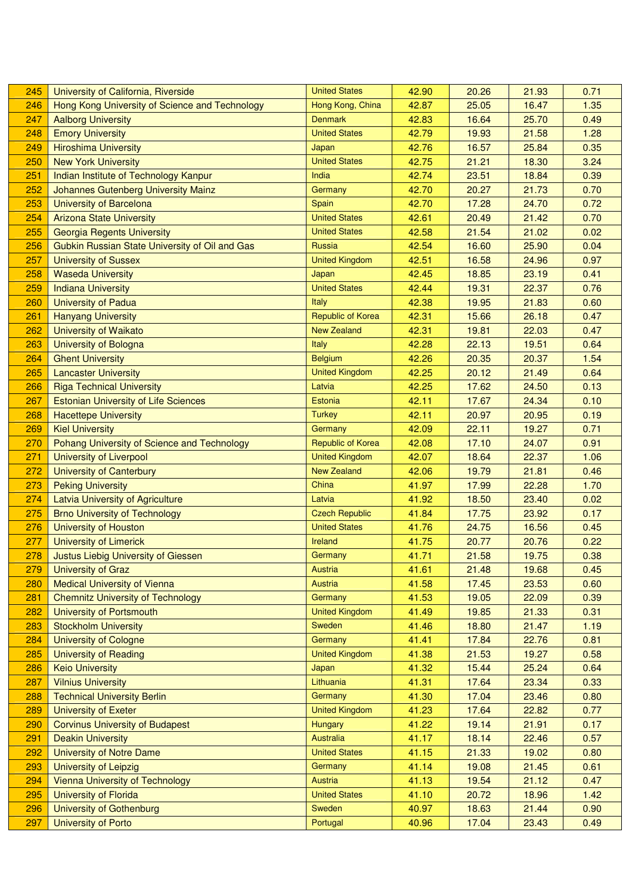| 245 | University of California, Riverside            | <b>United States</b>     | 42.90 | 20.26 | 21.93 | 0.71 |
|-----|------------------------------------------------|--------------------------|-------|-------|-------|------|
| 246 | Hong Kong University of Science and Technology | Hong Kong, China         | 42.87 | 25.05 | 16.47 | 1.35 |
| 247 | <b>Aalborg University</b>                      | <b>Denmark</b>           | 42.83 | 16.64 | 25.70 | 0.49 |
| 248 | <b>Emory University</b>                        | <b>United States</b>     | 42.79 | 19.93 | 21.58 | 1.28 |
| 249 | <b>Hiroshima University</b>                    | Japan                    | 42.76 | 16.57 | 25.84 | 0.35 |
| 250 | <b>New York University</b>                     | <b>United States</b>     | 42.75 | 21.21 | 18.30 | 3.24 |
| 251 | Indian Institute of Technology Kanpur          | India                    | 42.74 | 23.51 | 18.84 | 0.39 |
| 252 | Johannes Gutenberg University Mainz            | Germany                  | 42.70 | 20.27 | 21.73 | 0.70 |
| 253 | <b>University of Barcelona</b>                 | Spain                    | 42.70 | 17.28 | 24.70 | 0.72 |
| 254 | <b>Arizona State University</b>                | <b>United States</b>     | 42.61 | 20.49 | 21.42 | 0.70 |
| 255 | <b>Georgia Regents University</b>              | <b>United States</b>     | 42.58 | 21.54 | 21.02 | 0.02 |
| 256 | Gubkin Russian State University of Oil and Gas | <b>Russia</b>            | 42.54 | 16.60 | 25.90 | 0.04 |
| 257 | <b>University of Sussex</b>                    | <b>United Kingdom</b>    | 42.51 | 16.58 | 24.96 | 0.97 |
| 258 | <b>Waseda University</b>                       | Japan                    | 42.45 | 18.85 | 23.19 | 0.41 |
| 259 | <b>Indiana University</b>                      | <b>United States</b>     | 42.44 | 19.31 | 22.37 | 0.76 |
| 260 | <b>University of Padua</b>                     | <b>Italy</b>             | 42.38 | 19.95 | 21.83 | 0.60 |
| 261 | <b>Hanyang University</b>                      | <b>Republic of Korea</b> | 42.31 | 15.66 | 26.18 | 0.47 |
| 262 | <b>University of Waikato</b>                   | <b>New Zealand</b>       | 42.31 | 19.81 | 22.03 | 0.47 |
| 263 | <b>University of Bologna</b>                   | Italy                    | 42.28 | 22.13 | 19.51 | 0.64 |
| 264 | <b>Ghent University</b>                        | <b>Belgium</b>           | 42.26 | 20.35 | 20.37 | 1.54 |
| 265 | <b>Lancaster University</b>                    | <b>United Kingdom</b>    | 42.25 | 20.12 | 21.49 | 0.64 |
| 266 | <b>Riga Technical University</b>               | Latvia                   | 42.25 | 17.62 | 24.50 | 0.13 |
| 267 | <b>Estonian University of Life Sciences</b>    | Estonia                  | 42.11 | 17.67 | 24.34 | 0.10 |
| 268 | <b>Hacettepe University</b>                    | <b>Turkey</b>            | 42.11 | 20.97 | 20.95 | 0.19 |
| 269 | <b>Kiel University</b>                         | Germany                  | 42.09 | 22.11 | 19.27 | 0.71 |
| 270 | Pohang University of Science and Technology    | <b>Republic of Korea</b> | 42.08 | 17.10 | 24.07 | 0.91 |
| 271 | <b>University of Liverpool</b>                 | <b>United Kingdom</b>    | 42.07 | 18.64 | 22.37 | 1.06 |
| 272 | <b>University of Canterbury</b>                | <b>New Zealand</b>       | 42.06 | 19.79 | 21.81 | 0.46 |
| 273 | <b>Peking University</b>                       | China                    | 41.97 | 17.99 | 22.28 | 1.70 |
| 274 | <b>Latvia University of Agriculture</b>        | Latvia                   | 41.92 | 18.50 | 23.40 | 0.02 |
| 275 | <b>Brno University of Technology</b>           | <b>Czech Republic</b>    | 41.84 | 17.75 | 23.92 | 0.17 |
| 276 | <b>University of Houston</b>                   | <b>United States</b>     | 41.76 | 24.75 | 16.56 | 0.45 |
| 277 | <b>University of Limerick</b>                  | Ireland                  | 41.75 | 20.77 | 20.76 | 0.22 |
| 278 | Justus Liebig University of Giessen            | Germany                  | 41.71 | 21.58 | 19.75 | 0.38 |
| 279 | <b>University of Graz</b>                      | <b>Austria</b>           | 41.61 | 21.48 | 19.68 | 0.45 |
| 280 | <b>Medical University of Vienna</b>            | Austria                  | 41.58 | 17.45 | 23.53 | 0.60 |
| 281 | <b>Chemnitz University of Technology</b>       | Germany                  | 41.53 | 19.05 | 22.09 | 0.39 |
| 282 | <b>University of Portsmouth</b>                | <b>United Kingdom</b>    | 41.49 | 19.85 | 21.33 | 0.31 |
| 283 | <b>Stockholm University</b>                    | Sweden                   | 41.46 | 18.80 | 21.47 | 1.19 |
| 284 | <b>University of Cologne</b>                   | Germany                  | 41.41 | 17.84 | 22.76 | 0.81 |
| 285 | <b>University of Reading</b>                   | <b>United Kingdom</b>    | 41.38 | 21.53 | 19.27 | 0.58 |
| 286 | <b>Keio University</b>                         | Japan                    | 41.32 | 15.44 | 25.24 | 0.64 |
| 287 | <b>Vilnius University</b>                      | Lithuania                | 41.31 | 17.64 | 23.34 | 0.33 |
| 288 | <b>Technical University Berlin</b>             | Germany                  | 41.30 | 17.04 | 23.46 | 0.80 |
| 289 | <b>University of Exeter</b>                    | <b>United Kingdom</b>    | 41.23 | 17.64 | 22.82 | 0.77 |
| 290 | <b>Corvinus University of Budapest</b>         | Hungary                  | 41.22 | 19.14 | 21.91 | 0.17 |
| 291 | <b>Deakin University</b>                       | <b>Australia</b>         | 41.17 | 18.14 | 22.46 | 0.57 |
| 292 | <b>University of Notre Dame</b>                | <b>United States</b>     | 41.15 | 21.33 | 19.02 | 0.80 |
| 293 | University of Leipzig                          | Germany                  | 41.14 | 19.08 | 21.45 | 0.61 |
| 294 | <b>Vienna University of Technology</b>         | <b>Austria</b>           | 41.13 | 19.54 | 21.12 | 0.47 |
| 295 | <b>University of Florida</b>                   | <b>United States</b>     | 41.10 | 20.72 | 18.96 | 1.42 |
| 296 | University of Gothenburg                       | Sweden                   | 40.97 | 18.63 | 21.44 | 0.90 |
| 297 | <b>University of Porto</b>                     | Portugal                 | 40.96 | 17.04 | 23.43 | 0.49 |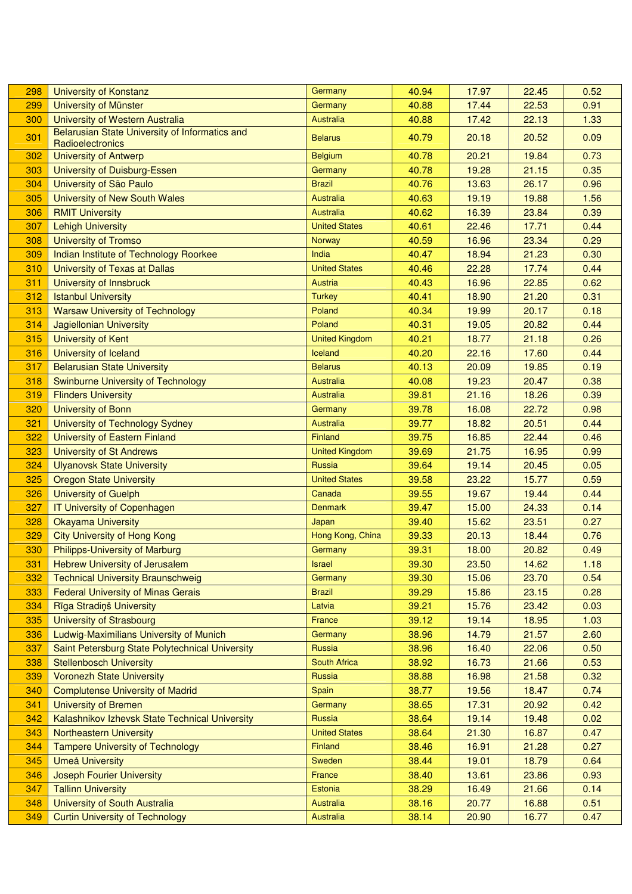| 298 | <b>University of Konstanz</b>                                      | Germany               | 40.94 | 17.97 | 22.45 | 0.52 |
|-----|--------------------------------------------------------------------|-----------------------|-------|-------|-------|------|
| 299 | University of Münster                                              | Germany               | 40.88 | 17.44 | 22.53 | 0.91 |
| 300 | University of Western Australia                                    | Australia             | 40.88 | 17.42 | 22.13 | 1.33 |
| 301 | Belarusian State University of Informatics and<br>Radioelectronics | <b>Belarus</b>        | 40.79 | 20.18 | 20.52 | 0.09 |
| 302 | <b>University of Antwerp</b>                                       | <b>Belgium</b>        | 40.78 | 20.21 | 19.84 | 0.73 |
| 303 | University of Duisburg-Essen                                       | Germany               | 40.78 | 19.28 | 21.15 | 0.35 |
| 304 | University of São Paulo                                            | <b>Brazil</b>         | 40.76 | 13.63 | 26.17 | 0.96 |
| 305 | University of New South Wales                                      | Australia             | 40.63 | 19.19 | 19.88 | 1.56 |
| 306 | <b>RMIT University</b>                                             | Australia             | 40.62 | 16.39 | 23.84 | 0.39 |
| 307 | <b>Lehigh University</b>                                           | <b>United States</b>  | 40.61 | 22.46 | 17.71 | 0.44 |
| 308 | <b>University of Tromso</b>                                        | Norway                | 40.59 | 16.96 | 23.34 | 0.29 |
| 309 | Indian Institute of Technology Roorkee                             | India                 | 40.47 | 18.94 | 21.23 | 0.30 |
| 310 | University of Texas at Dallas                                      | <b>United States</b>  | 40.46 | 22.28 | 17.74 | 0.44 |
| 311 | University of Innsbruck                                            | Austria               | 40.43 | 16.96 | 22.85 | 0.62 |
| 312 | <b>Istanbul University</b>                                         | <b>Turkey</b>         | 40.41 | 18.90 | 21.20 | 0.31 |
| 313 | <b>Warsaw University of Technology</b>                             | Poland                | 40.34 | 19.99 | 20.17 | 0.18 |
| 314 | <b>Jagiellonian University</b>                                     | Poland                | 40.31 | 19.05 | 20.82 | 0.44 |
| 315 | <b>University of Kent</b>                                          | <b>United Kingdom</b> | 40.21 | 18.77 | 21.18 | 0.26 |
| 316 | University of Iceland                                              | Iceland               | 40.20 | 22.16 | 17.60 | 0.44 |
| 317 | <b>Belarusian State University</b>                                 | <b>Belarus</b>        | 40.13 | 20.09 | 19.85 | 0.19 |
| 318 | Swinburne University of Technology                                 | <b>Australia</b>      | 40.08 | 19.23 | 20.47 | 0.38 |
| 319 | <b>Flinders University</b>                                         | Australia             | 39.81 | 21.16 | 18.26 | 0.39 |
| 320 | <b>University of Bonn</b>                                          | Germany               | 39.78 | 16.08 | 22.72 | 0.98 |
| 321 | University of Technology Sydney                                    | Australia             | 39.77 | 18.82 | 20.51 | 0.44 |
| 322 | University of Eastern Finland                                      | Finland               | 39.75 | 16.85 | 22.44 | 0.46 |
| 323 | <b>University of St Andrews</b>                                    | <b>United Kingdom</b> | 39.69 | 21.75 | 16.95 | 0.99 |
| 324 | <b>Ulyanovsk State University</b>                                  | Russia                | 39.64 | 19.14 | 20.45 | 0.05 |
| 325 | <b>Oregon State University</b>                                     | <b>United States</b>  | 39.58 | 23.22 | 15.77 | 0.59 |
| 326 | <b>University of Guelph</b>                                        | Canada                | 39.55 | 19.67 | 19.44 | 0.44 |
| 327 | <b>IT University of Copenhagen</b>                                 | <b>Denmark</b>        | 39.47 | 15.00 | 24.33 | 0.14 |
| 328 | <b>Okayama University</b>                                          | Japan                 | 39.40 | 15.62 | 23.51 | 0.27 |
| 329 | <b>City University of Hong Kong</b>                                | Hong Kong, China      | 39.33 | 20.13 | 18.44 | 0.76 |
| 330 | <b>Philipps-University of Marburg</b>                              | Germany               | 39.31 | 18.00 | 20.82 | 0.49 |
| 331 | <b>Hebrew University of Jerusalem</b>                              | Israel                | 39.30 | 23.50 | 14.62 | 1.18 |
| 332 | <b>Technical University Braunschweig</b>                           | Germany               | 39.30 | 15.06 | 23.70 | 0.54 |
| 333 | <b>Federal University of Minas Gerais</b>                          | <b>Brazil</b>         | 39.29 | 15.86 | 23.15 | 0.28 |
| 334 | Rīga Stradiņš University                                           | Latvia                | 39.21 | 15.76 | 23.42 | 0.03 |
| 335 | <b>University of Strasbourg</b>                                    | France                | 39.12 | 19.14 | 18.95 | 1.03 |
| 336 | Ludwig-Maximilians University of Munich                            | Germany               | 38.96 | 14.79 | 21.57 | 2.60 |
| 337 | Saint Petersburg State Polytechnical University                    | Russia                | 38.96 | 16.40 | 22.06 | 0.50 |
| 338 | <b>Stellenbosch University</b>                                     | South Africa          | 38.92 | 16.73 | 21.66 | 0.53 |
| 339 | <b>Voronezh State University</b>                                   | Russia                | 38.88 | 16.98 | 21.58 | 0.32 |
| 340 | <b>Complutense University of Madrid</b>                            | Spain                 | 38.77 | 19.56 | 18.47 | 0.74 |
| 341 | <b>University of Bremen</b>                                        | Germany               | 38.65 | 17.31 | 20.92 | 0.42 |
| 342 | Kalashnikov Izhevsk State Technical University                     | Russia                | 38.64 | 19.14 | 19.48 | 0.02 |
| 343 | <b>Northeastern University</b>                                     | <b>United States</b>  | 38.64 | 21.30 | 16.87 | 0.47 |
| 344 | <b>Tampere University of Technology</b>                            | Finland               | 38.46 | 16.91 | 21.28 | 0.27 |
| 345 | <b>Umeå University</b>                                             | Sweden                | 38.44 | 19.01 | 18.79 | 0.64 |
| 346 | Joseph Fourier University                                          | France                | 38.40 | 13.61 | 23.86 | 0.93 |
| 347 | <b>Tallinn University</b>                                          | Estonia               | 38.29 | 16.49 | 21.66 | 0.14 |
| 348 | University of South Australia                                      | Australia             | 38.16 | 20.77 | 16.88 | 0.51 |
| 349 | <b>Curtin University of Technology</b>                             | Australia             | 38.14 | 20.90 | 16.77 | 0.47 |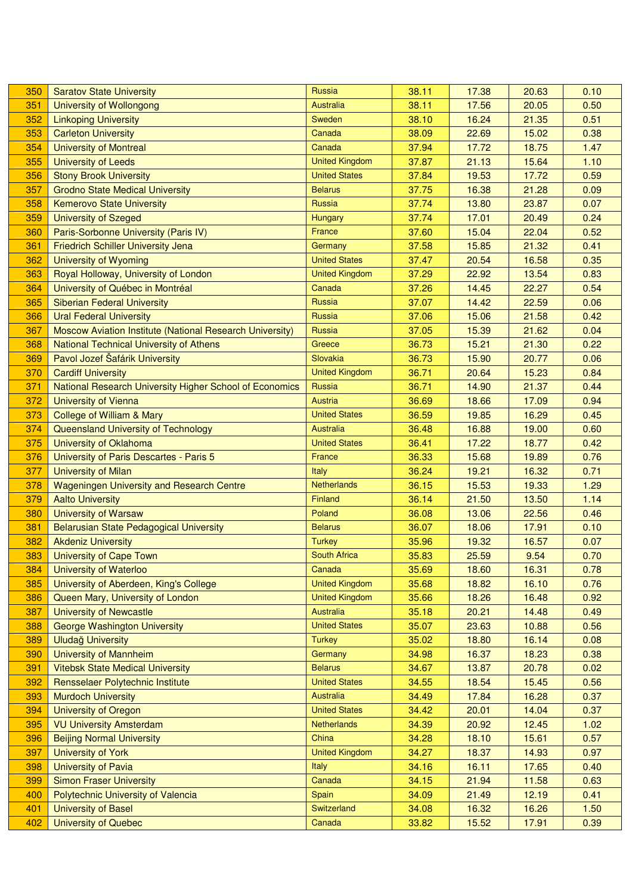| 350 | <b>Saratov State University</b>                          | <b>Russia</b>         | 38.11 | 17.38 | 20.63 | 0.10 |
|-----|----------------------------------------------------------|-----------------------|-------|-------|-------|------|
| 351 | University of Wollongong                                 | <b>Australia</b>      | 38.11 | 17.56 | 20.05 | 0.50 |
| 352 | <b>Linkoping University</b>                              | Sweden                | 38.10 | 16.24 | 21.35 | 0.51 |
| 353 | <b>Carleton University</b>                               | Canada                | 38.09 | 22.69 | 15.02 | 0.38 |
| 354 | <b>University of Montreal</b>                            | Canada                | 37.94 | 17.72 | 18.75 | 1.47 |
| 355 | <b>University of Leeds</b>                               | <b>United Kingdom</b> | 37.87 | 21.13 | 15.64 | 1.10 |
| 356 | <b>Stony Brook University</b>                            | <b>United States</b>  | 37.84 | 19.53 | 17.72 | 0.59 |
| 357 | <b>Grodno State Medical University</b>                   | <b>Belarus</b>        | 37.75 | 16.38 | 21.28 | 0.09 |
| 358 | <b>Kemerovo State University</b>                         | Russia                | 37.74 | 13.80 | 23.87 | 0.07 |
| 359 | <b>University of Szeged</b>                              | Hungary               | 37.74 | 17.01 | 20.49 | 0.24 |
| 360 | Paris-Sorbonne University (Paris IV)                     | France                | 37.60 | 15.04 | 22.04 | 0.52 |
| 361 | <b>Friedrich Schiller University Jena</b>                | Germany               | 37.58 | 15.85 | 21.32 | 0.41 |
| 362 | <b>University of Wyoming</b>                             | <b>United States</b>  | 37.47 | 20.54 | 16.58 | 0.35 |
| 363 | Royal Holloway, University of London                     | <b>United Kingdom</b> | 37.29 | 22.92 | 13.54 | 0.83 |
| 364 | University of Québec in Montréal                         | Canada                | 37.26 | 14.45 | 22.27 | 0.54 |
| 365 | <b>Siberian Federal University</b>                       | Russia                | 37.07 | 14.42 | 22.59 | 0.06 |
| 366 | <b>Ural Federal University</b>                           | Russia                | 37.06 | 15.06 | 21.58 | 0.42 |
| 367 | Moscow Aviation Institute (National Research University) | Russia                | 37.05 | 15.39 | 21.62 | 0.04 |
| 368 | National Technical University of Athens                  | Greece                | 36.73 | 15.21 | 21.30 | 0.22 |
| 369 | Pavol Jozef Šafárik University                           | Slovakia              | 36.73 | 15.90 | 20.77 | 0.06 |
| 370 | <b>Cardiff University</b>                                | <b>United Kingdom</b> | 36.71 | 20.64 | 15.23 | 0.84 |
| 371 | National Research University Higher School of Economics  | Russia                | 36.71 | 14.90 | 21.37 | 0.44 |
| 372 | <b>University of Vienna</b>                              | Austria               | 36.69 | 18.66 | 17.09 | 0.94 |
| 373 | <b>College of William &amp; Mary</b>                     | <b>United States</b>  | 36.59 | 19.85 | 16.29 | 0.45 |
| 374 | Queensland University of Technology                      | <b>Australia</b>      | 36.48 | 16.88 | 19.00 | 0.60 |
| 375 | University of Oklahoma                                   | <b>United States</b>  | 36.41 | 17.22 | 18.77 | 0.42 |
| 376 | University of Paris Descartes - Paris 5                  | France                | 36.33 | 15.68 | 19.89 | 0.76 |
| 377 | <b>University of Milan</b>                               | <b>Italy</b>          | 36.24 | 19.21 | 16.32 | 0.71 |
| 378 | Wageningen University and Research Centre                | Netherlands           | 36.15 | 15.53 | 19.33 | 1.29 |
| 379 | <b>Aalto University</b>                                  | Finland               | 36.14 | 21.50 | 13.50 | 1.14 |
| 380 | <b>University of Warsaw</b>                              | Poland                | 36.08 | 13.06 | 22.56 | 0.46 |
| 381 | <b>Belarusian State Pedagogical University</b>           | <b>Belarus</b>        | 36.07 | 18.06 | 17.91 | 0.10 |
| 382 | <b>Akdeniz University</b>                                | <b>Turkey</b>         | 35.96 | 19.32 | 16.57 | 0.07 |
| 383 | <b>University of Cape Town</b>                           | <b>South Africa</b>   | 35.83 | 25.59 | 9.54  | 0.70 |
| 384 | University of Waterloo                                   | Canada                | 35.69 | 18.60 | 16.31 | 0.78 |
| 385 | University of Aberdeen, King's College                   | <b>United Kingdom</b> | 35.68 | 18.82 | 16.10 | 0.76 |
| 386 | Queen Mary, University of London                         | <b>United Kingdom</b> | 35.66 | 18.26 | 16.48 | 0.92 |
| 387 | <b>University of Newcastle</b>                           | <b>Australia</b>      | 35.18 | 20.21 | 14.48 | 0.49 |
| 388 | <b>George Washington University</b>                      | <b>United States</b>  | 35.07 | 23.63 | 10.88 | 0.56 |
| 389 | <b>Uludağ University</b>                                 | <b>Turkey</b>         | 35.02 | 18.80 | 16.14 | 0.08 |
| 390 | <b>University of Mannheim</b>                            | Germany               | 34.98 | 16.37 | 18.23 | 0.38 |
| 391 | <b>Vitebsk State Medical University</b>                  | <b>Belarus</b>        | 34.67 | 13.87 | 20.78 | 0.02 |
| 392 | Rensselaer Polytechnic Institute                         | <b>United States</b>  | 34.55 | 18.54 | 15.45 | 0.56 |
| 393 | <b>Murdoch University</b>                                | <b>Australia</b>      | 34.49 | 17.84 | 16.28 | 0.37 |
| 394 | <b>University of Oregon</b>                              | <b>United States</b>  | 34.42 | 20.01 | 14.04 | 0.37 |
| 395 | <b>VU University Amsterdam</b>                           | <b>Netherlands</b>    | 34.39 | 20.92 | 12.45 | 1.02 |
| 396 | <b>Beijing Normal University</b>                         | China                 | 34.28 | 18.10 | 15.61 | 0.57 |
| 397 | <b>University of York</b>                                | <b>United Kingdom</b> | 34.27 | 18.37 | 14.93 | 0.97 |
| 398 | <b>University of Pavia</b>                               | Italy                 | 34.16 | 16.11 | 17.65 | 0.40 |
| 399 | <b>Simon Fraser University</b>                           | Canada                | 34.15 | 21.94 | 11.58 | 0.63 |
| 400 | Polytechnic University of Valencia                       | Spain                 | 34.09 | 21.49 | 12.19 | 0.41 |
| 401 | <b>University of Basel</b>                               | Switzerland           | 34.08 | 16.32 | 16.26 | 1.50 |
| 402 | <b>University of Quebec</b>                              | Canada                | 33.82 | 15.52 | 17.91 | 0.39 |
|     |                                                          |                       |       |       |       |      |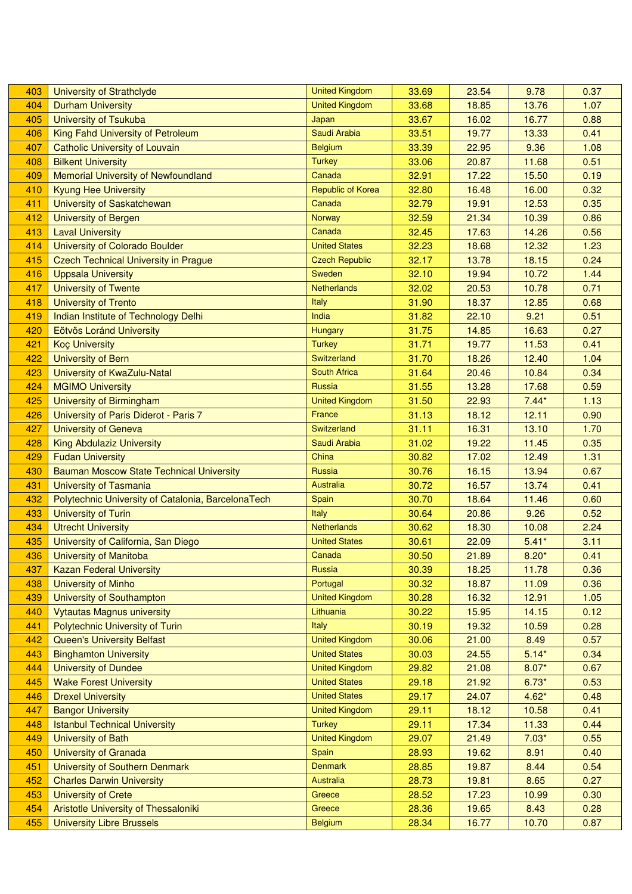| 403 | University of Strathclyde                          | <b>United Kingdom</b> | 33.69 | 23.54 | 9.78    | 0.37 |
|-----|----------------------------------------------------|-----------------------|-------|-------|---------|------|
| 404 | <b>Durham University</b>                           | <b>United Kingdom</b> | 33.68 | 18.85 | 13.76   | 1.07 |
| 405 | <b>University of Tsukuba</b>                       | Japan                 | 33.67 | 16.02 | 16.77   | 0.88 |
| 406 | King Fahd University of Petroleum                  | Saudi Arabia          | 33.51 | 19.77 | 13.33   | 0.41 |
| 407 | <b>Catholic University of Louvain</b>              | <b>Belgium</b>        | 33.39 | 22.95 | 9.36    | 1.08 |
| 408 | <b>Bilkent University</b>                          | <b>Turkey</b>         | 33.06 | 20.87 | 11.68   | 0.51 |
| 409 | <b>Memorial University of Newfoundland</b>         | Canada                | 32.91 | 17.22 | 15.50   | 0.19 |
| 410 | <b>Kyung Hee University</b>                        | Republic of Korea     | 32.80 | 16.48 | 16.00   | 0.32 |
| 411 | University of Saskatchewan                         | Canada                | 32.79 | 19.91 | 12.53   | 0.35 |
| 412 | <b>University of Bergen</b>                        | Norway                | 32.59 | 21.34 | 10.39   | 0.86 |
| 413 | <b>Laval University</b>                            | Canada                | 32.45 | 17.63 | 14.26   | 0.56 |
| 414 | University of Colorado Boulder                     | <b>United States</b>  | 32.23 | 18.68 | 12.32   | 1.23 |
| 415 | <b>Czech Technical University in Prague</b>        | <b>Czech Republic</b> | 32.17 | 13.78 | 18.15   | 0.24 |
| 416 | <b>Uppsala University</b>                          | Sweden                | 32.10 | 19.94 | 10.72   | 1.44 |
| 417 | <b>University of Twente</b>                        | <b>Netherlands</b>    | 32.02 | 20.53 | 10.78   | 0.71 |
| 418 | <b>University of Trento</b>                        | <b>Italy</b>          | 31.90 | 18.37 | 12.85   | 0.68 |
| 419 | Indian Institute of Technology Delhi               | India                 | 31.82 | 22.10 | 9.21    | 0.51 |
| 420 | Eötvös Loránd University                           | Hungary               | 31.75 | 14.85 | 16.63   | 0.27 |
| 421 | <b>Koç University</b>                              | <b>Turkey</b>         | 31.71 | 19.77 | 11.53   | 0.41 |
| 422 | <b>University of Bern</b>                          | Switzerland           | 31.70 | 18.26 | 12.40   | 1.04 |
| 423 | University of KwaZulu-Natal                        | <b>South Africa</b>   | 31.64 | 20.46 | 10.84   | 0.34 |
| 424 | <b>MGIMO University</b>                            | Russia                | 31.55 | 13.28 | 17.68   | 0.59 |
| 425 | <b>University of Birmingham</b>                    | <b>United Kingdom</b> | 31.50 | 22.93 | $7.44*$ | 1.13 |
| 426 | University of Paris Diderot - Paris 7              | France                | 31.13 | 18.12 | 12.11   | 0.90 |
| 427 | <b>University of Geneva</b>                        | Switzerland           | 31.11 | 16.31 | 13.10   | 1.70 |
| 428 | <b>King Abdulaziz University</b>                   | Saudi Arabia          | 31.02 | 19.22 | 11.45   | 0.35 |
| 429 | <b>Fudan University</b>                            | China                 | 30.82 | 17.02 | 12.49   | 1.31 |
| 430 | <b>Bauman Moscow State Technical University</b>    | Russia                | 30.76 | 16.15 | 13.94   | 0.67 |
| 431 | <b>University of Tasmania</b>                      | <b>Australia</b>      | 30.72 | 16.57 | 13.74   | 0.41 |
| 432 | Polytechnic University of Catalonia, BarcelonaTech | Spain                 | 30.70 | 18.64 | 11.46   | 0.60 |
| 433 | <b>University of Turin</b>                         | Italy                 | 30.64 | 20.86 | 9.26    | 0.52 |
| 434 | <b>Utrecht University</b>                          | <b>Netherlands</b>    | 30.62 | 18.30 | 10.08   | 2.24 |
| 435 | University of California, San Diego                | <b>United States</b>  | 30.61 | 22.09 | $5.41*$ | 3.11 |
| 436 | University of Manitoba                             | Canada                | 30.50 | 21.89 | $8.20*$ | 0.41 |
| 437 | <b>Kazan Federal University</b>                    | Russia                | 30.39 | 18.25 | 11.78   | 0.36 |
| 438 | <b>University of Minho</b>                         | Portugal              | 30.32 | 18.87 | 11.09   | 0.36 |
| 439 | University of Southampton                          | <b>United Kingdom</b> | 30.28 | 16.32 | 12.91   | 1.05 |
| 440 | <b>Vytautas Magnus university</b>                  | Lithuania             | 30.22 | 15.95 | 14.15   | 0.12 |
| 441 | Polytechnic University of Turin                    | Italy                 | 30.19 | 19.32 | 10.59   | 0.28 |
| 442 | <b>Queen's University Belfast</b>                  | <b>United Kingdom</b> | 30.06 | 21.00 | 8.49    | 0.57 |
| 443 | <b>Binghamton University</b>                       | <b>United States</b>  | 30.03 | 24.55 | $5.14*$ | 0.34 |
| 444 | <b>University of Dundee</b>                        | <b>United Kingdom</b> | 29.82 | 21.08 | $8.07*$ | 0.67 |
| 445 | <b>Wake Forest University</b>                      | <b>United States</b>  | 29.18 | 21.92 | $6.73*$ | 0.53 |
| 446 | <b>Drexel University</b>                           | <b>United States</b>  | 29.17 | 24.07 | $4.62*$ | 0.48 |
| 447 | <b>Bangor University</b>                           | <b>United Kingdom</b> | 29.11 | 18.12 | 10.58   | 0.41 |
| 448 | <b>Istanbul Technical University</b>               | <b>Turkey</b>         | 29.11 | 17.34 | 11.33   | 0.44 |
| 449 | <b>University of Bath</b>                          | <b>United Kingdom</b> | 29.07 | 21.49 | $7.03*$ | 0.55 |
| 450 | <b>University of Granada</b>                       | Spain                 | 28.93 | 19.62 | 8.91    | 0.40 |
| 451 | <b>University of Southern Denmark</b>              | <b>Denmark</b>        | 28.85 | 19.87 | 8.44    | 0.54 |
| 452 | <b>Charles Darwin University</b>                   | <b>Australia</b>      | 28.73 | 19.81 | 8.65    | 0.27 |
| 453 | <b>University of Crete</b>                         | Greece                | 28.52 | 17.23 | 10.99   | 0.30 |
| 454 | Aristotle University of Thessaloniki               | Greece                | 28.36 | 19.65 | 8.43    | 0.28 |
| 455 | <b>University Libre Brussels</b>                   | <b>Belgium</b>        | 28.34 | 16.77 | 10.70   | 0.87 |